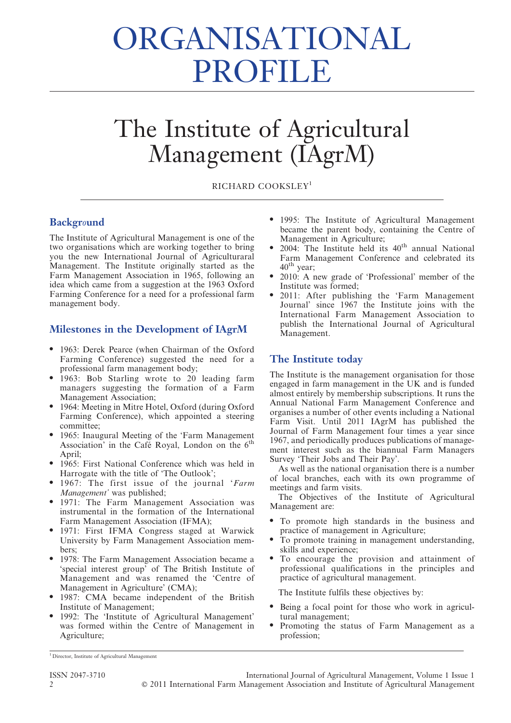# ORGANISATIONAL PROFILE

## The Institute of Agricultural Management (IAgrM)

RICHARD COOKSLEY<sup>1</sup>

#### **Background**

The Institute of Agricultural Management is one of the two organisations which are working together to bring you the new International Journal of Agriculturaral Management. The Institute originally started as the Farm Management Association in 1965, following an idea which came from a suggestion at the 1963 Oxford Farming Conference for a need for a professional farm management body.

#### Milestones in the Development of IAgrM

- 1963: Derek Pearce (when Chairman of the Oxford Farming Conference) suggested the need for a professional farm management body;
- 1963: Bob Starling wrote to 20 leading farm managers suggesting the formation of a Farm Management Association;
- 1964: Meeting in Mitre Hotel, Oxford (during Oxford Farming Conference), which appointed a steering committee;
- 1965: Inaugural Meeting of the 'Farm Management Association' in the Café Royal, London on the  $6<sup>th</sup>$ April;
- 1965: First National Conference which was held in Harrogate with the title of 'The Outlook';
- 1967: The first issue of the journal 'Farm Management' was published;
- $\bullet$  1971: The Farm Management Association was instrumental in the formation of the International Farm Management Association (IFMA);
- N 1971: First IFMA Congress staged at Warwick University by Farm Management Association members;
- 1978: The Farm Management Association became a 'special interest group' of The British Institute of Management and was renamed the 'Centre of Management in Agriculture' (CMA);
- 1987: CMA became independent of the British Institute of Management;
- 1992: The 'Institute of Agricultural Management' was formed within the Centre of Management in Agriculture;
- 1995: The Institute of Agricultural Management became the parent body, containing the Centre of Management in Agriculture;
- 2004: The Institute held its  $40<sup>th</sup>$  annual National Farm Management Conference and celebrated its  $40^{\text{th}}$  year;
- 2010: A new grade of 'Professional' member of the Institute was formed;
- 2011: After publishing the 'Farm Management Journal' since 1967 the Institute joins with the International Farm Management Association to publish the International Journal of Agricultural Management.

#### The Institute today

The Institute is the management organisation for those engaged in farm management in the UK and is funded almost entirely by membership subscriptions. It runs the Annual National Farm Management Conference and organises a number of other events including a National Farm Visit. Until 2011 IAgrM has published the Journal of Farm Management four times a year since 1967, and periodically produces publications of management interest such as the biannual Farm Managers Survey 'Their Jobs and Their Pay'.

As well as the national organisation there is a number of local branches, each with its own programme of meetings and farm visits.

The Objectives of the Institute of Agricultural Management are:

- To promote high standards in the business and practice of management in Agriculture;
- To promote training in management understanding, skills and experience;
- N To encourage the provision and attainment of professional qualifications in the principles and practice of agricultural management.

The Institute fulfils these objectives by:

- Being a focal point for those who work in agricultural management;
- Promoting the status of Farm Management as a profession;

<sup>&</sup>lt;sup>1</sup> Director, Institute of Agricultural Management